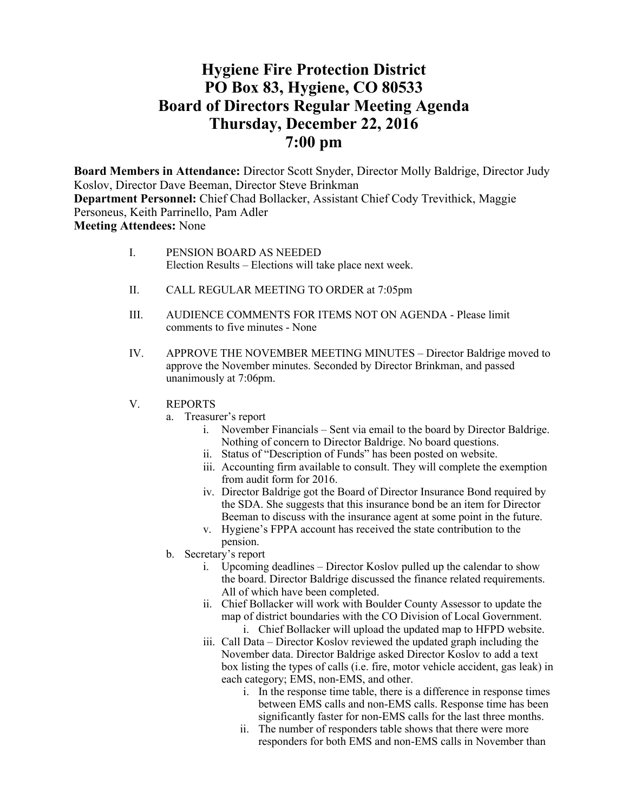# **Hygiene Fire Protection District PO Box 83, Hygiene, CO 80533 Board of Directors Regular Meeting Agenda Thursday, December 22, 2016 7:00 pm**

**Board Members in Attendance:** Director Scott Snyder, Director Molly Baldrige, Director Judy Koslov, Director Dave Beeman, Director Steve Brinkman **Department Personnel:** Chief Chad Bollacker, Assistant Chief Cody Trevithick, Maggie Personeus, Keith Parrinello, Pam Adler **Meeting Attendees:** None

| PENSION BOARD AS NEEDED                                 |
|---------------------------------------------------------|
| Election Results – Elections will take place next week. |

- II. CALL REGULAR MEETING TO ORDER at 7:05pm
- III. AUDIENCE COMMENTS FOR ITEMS NOT ON AGENDA Please limit comments to five minutes - None
- IV. APPROVE THE NOVEMBER MEETING MINUTES Director Baldrige moved to approve the November minutes. Seconded by Director Brinkman, and passed unanimously at 7:06pm.
- V. REPORTS
	- a. Treasurer's report
		- i. November Financials Sent via email to the board by Director Baldrige. Nothing of concern to Director Baldrige. No board questions.
		- ii. Status of "Description of Funds" has been posted on website.
		- iii. Accounting firm available to consult. They will complete the exemption from audit form for 2016.
		- iv. Director Baldrige got the Board of Director Insurance Bond required by the SDA. She suggests that this insurance bond be an item for Director Beeman to discuss with the insurance agent at some point in the future.
		- v. Hygiene's FPPA account has received the state contribution to the pension.
	- b. Secretary's report
		- i. Upcoming deadlines Director Koslov pulled up the calendar to show the board. Director Baldrige discussed the finance related requirements. All of which have been completed.
		- ii. Chief Bollacker will work with Boulder County Assessor to update the map of district boundaries with the CO Division of Local Government. i. Chief Bollacker will upload the updated map to HFPD website.
		- iii. Call Data Director Koslov reviewed the updated graph including the November data. Director Baldrige asked Director Koslov to add a text box listing the types of calls (i.e. fire, motor vehicle accident, gas leak) in each category; EMS, non-EMS, and other.
			- i. In the response time table, there is a difference in response times between EMS calls and non-EMS calls. Response time has been significantly faster for non-EMS calls for the last three months.
			- ii. The number of responders table shows that there were more responders for both EMS and non-EMS calls in November than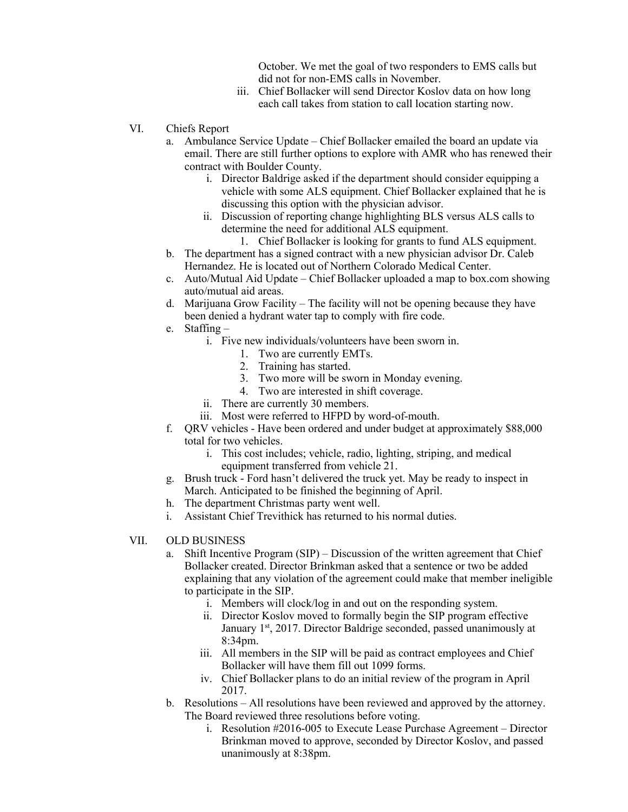October. We met the goal of two responders to EMS calls but did not for non-EMS calls in November.

- iii. Chief Bollacker will send Director Koslov data on how long each call takes from station to call location starting now.
- VI. Chiefs Report
	- a. Ambulance Service Update Chief Bollacker emailed the board an update via email. There are still further options to explore with AMR who has renewed their contract with Boulder County.
		- i. Director Baldrige asked if the department should consider equipping a vehicle with some ALS equipment. Chief Bollacker explained that he is discussing this option with the physician advisor.
		- ii. Discussion of reporting change highlighting BLS versus ALS calls to determine the need for additional ALS equipment.
			- 1. Chief Bollacker is looking for grants to fund ALS equipment.
	- b. The department has a signed contract with a new physician advisor Dr. Caleb Hernandez. He is located out of Northern Colorado Medical Center.
	- c. Auto/Mutual Aid Update Chief Bollacker uploaded a map to box.com showing auto/mutual aid areas.
	- d. Marijuana Grow Facility The facility will not be opening because they have been denied a hydrant water tap to comply with fire code.
	- e. Staffing
		- i. Five new individuals/volunteers have been sworn in.
			- 1. Two are currently EMTs.
			- 2. Training has started.
			- 3. Two more will be sworn in Monday evening.
			- 4. Two are interested in shift coverage.
		- ii. There are currently 30 members.
		- iii. Most were referred to HFPD by word-of-mouth.
	- f. QRV vehicles Have been ordered and under budget at approximately \$88,000 total for two vehicles.
		- i. This cost includes; vehicle, radio, lighting, striping, and medical equipment transferred from vehicle 21.
	- g. Brush truck Ford hasn't delivered the truck yet. May be ready to inspect in March. Anticipated to be finished the beginning of April.
	- h. The department Christmas party went well.
	- i. Assistant Chief Trevithick has returned to his normal duties.
- VII. OLD BUSINESS
	- a. Shift Incentive Program (SIP) Discussion of the written agreement that Chief Bollacker created. Director Brinkman asked that a sentence or two be added explaining that any violation of the agreement could make that member ineligible to participate in the SIP.
		- i. Members will clock/log in and out on the responding system.
		- ii. Director Koslov moved to formally begin the SIP program effective January 1<sup>st</sup>, 2017. Director Baldrige seconded, passed unanimously at 8:34pm.
		- iii. All members in the SIP will be paid as contract employees and Chief Bollacker will have them fill out 1099 forms.
		- iv. Chief Bollacker plans to do an initial review of the program in April 2017.
	- b. Resolutions All resolutions have been reviewed and approved by the attorney. The Board reviewed three resolutions before voting.
		- i. Resolution #2016-005 to Execute Lease Purchase Agreement Director Brinkman moved to approve, seconded by Director Koslov, and passed unanimously at 8:38pm.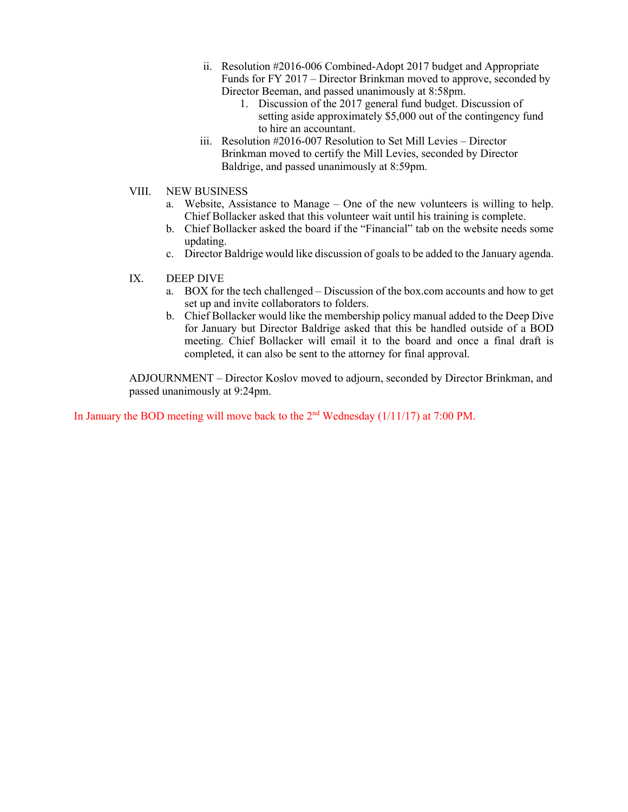- ii. Resolution #2016-006 Combined-Adopt 2017 budget and Appropriate Funds for FY 2017 – Director Brinkman moved to approve, seconded by Director Beeman, and passed unanimously at 8:58pm.
	- 1. Discussion of the 2017 general fund budget. Discussion of setting aside approximately \$5,000 out of the contingency fund to hire an accountant.
- iii. Resolution #2016-007 Resolution to Set Mill Levies Director Brinkman moved to certify the Mill Levies, seconded by Director Baldrige, and passed unanimously at 8:59pm.
- VIII. NEW BUSINESS
	- a. Website, Assistance to Manage One of the new volunteers is willing to help. Chief Bollacker asked that this volunteer wait until his training is complete.
	- b. Chief Bollacker asked the board if the "Financial" tab on the website needs some updating.
	- c. Director Baldrige would like discussion of goals to be added to the January agenda.
- IX. DEEP DIVE
	- a. BOX for the tech challenged Discussion of the box.com accounts and how to get set up and invite collaborators to folders.
	- b. Chief Bollacker would like the membership policy manual added to the Deep Dive for January but Director Baldrige asked that this be handled outside of a BOD meeting. Chief Bollacker will email it to the board and once a final draft is completed, it can also be sent to the attorney for final approval.

ADJOURNMENT – Director Koslov moved to adjourn, seconded by Director Brinkman, and passed unanimously at 9:24pm.

In January the BOD meeting will move back to the 2<sup>nd</sup> Wednesday (1/11/17) at 7:00 PM.